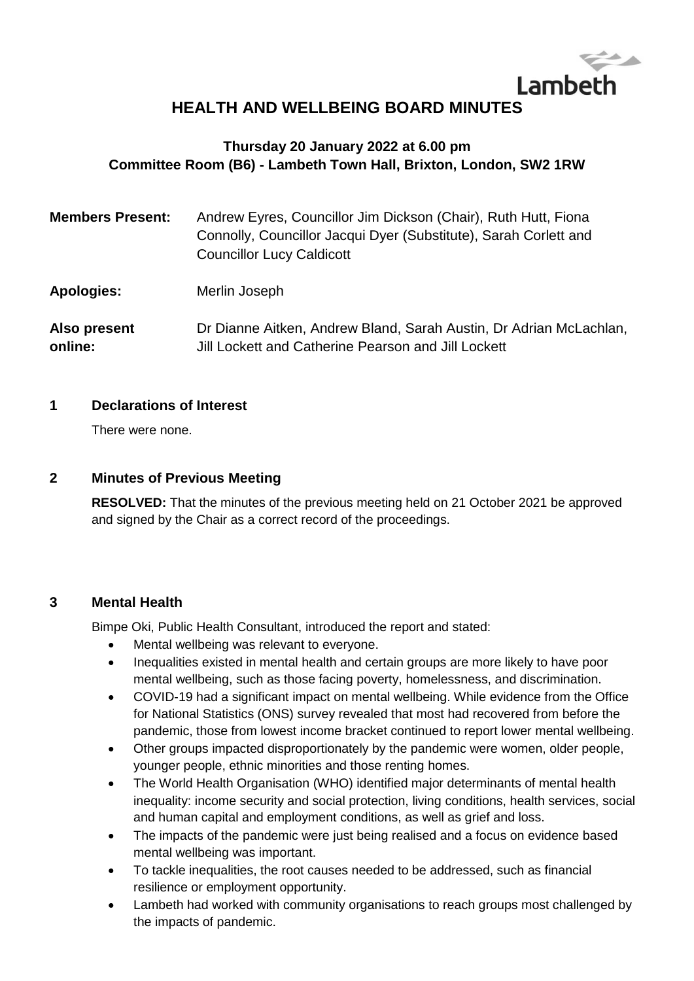# Lambeth **HEALTH AND WELLBEING BOARD MINUTES**

# **Thursday 20 January 2022 at 6.00 pm Committee Room (B6) - Lambeth Town Hall, Brixton, London, SW2 1RW**

| <b>Members Present:</b> | Andrew Eyres, Councillor Jim Dickson (Chair), Ruth Hutt, Fiona<br>Connolly, Councillor Jacqui Dyer (Substitute), Sarah Corlett and<br><b>Councillor Lucy Caldicott</b> |
|-------------------------|------------------------------------------------------------------------------------------------------------------------------------------------------------------------|
| <b>Apologies:</b>       | Merlin Joseph                                                                                                                                                          |
| Also present<br>online: | Dr Dianne Aitken, Andrew Bland, Sarah Austin, Dr Adrian McLachlan,<br>Jill Lockett and Catherine Pearson and Jill Lockett                                              |

#### **1 Declarations of Interest**

There were none.

#### **2 Minutes of Previous Meeting**

**RESOLVED:** That the minutes of the previous meeting held on 21 October 2021 be approved and signed by the Chair as a correct record of the proceedings.

#### **3 Mental Health**

Bimpe Oki, Public Health Consultant, introduced the report and stated:

- Mental wellbeing was relevant to everyone.
- Inequalities existed in mental health and certain groups are more likely to have poor mental wellbeing, such as those facing poverty, homelessness, and discrimination.
- COVID-19 had a significant impact on mental wellbeing. While evidence from the Office for National Statistics (ONS) survey revealed that most had recovered from before the pandemic, those from lowest income bracket continued to report lower mental wellbeing.
- Other groups impacted disproportionately by the pandemic were women, older people, younger people, ethnic minorities and those renting homes.
- The World Health Organisation (WHO) identified major determinants of mental health inequality: income security and social protection, living conditions, health services, social and human capital and employment conditions, as well as grief and loss.
- The impacts of the pandemic were just being realised and a focus on evidence based mental wellbeing was important.
- To tackle inequalities, the root causes needed to be addressed, such as financial resilience or employment opportunity.
- Lambeth had worked with community organisations to reach groups most challenged by the impacts of pandemic.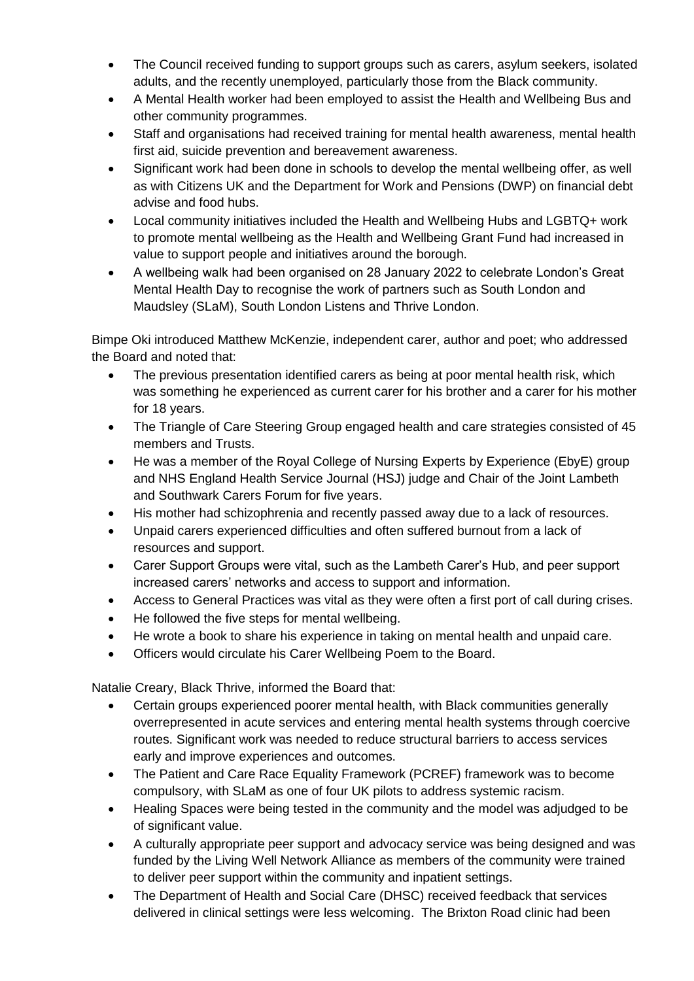- The Council received funding to support groups such as carers, asylum seekers, isolated adults, and the recently unemployed, particularly those from the Black community.
- A Mental Health worker had been employed to assist the Health and Wellbeing Bus and other community programmes.
- Staff and organisations had received training for mental health awareness, mental health first aid, suicide prevention and bereavement awareness.
- Significant work had been done in schools to develop the mental wellbeing offer, as well as with Citizens UK and the Department for Work and Pensions (DWP) on financial debt advise and food hubs.
- Local community initiatives included the Health and Wellbeing Hubs and LGBTQ+ work to promote mental wellbeing as the Health and Wellbeing Grant Fund had increased in value to support people and initiatives around the borough.
- A wellbeing walk had been organised on 28 January 2022 to celebrate London's Great Mental Health Day to recognise the work of partners such as South London and Maudsley (SLaM), South London Listens and Thrive London.

Bimpe Oki introduced Matthew McKenzie, independent carer, author and poet; who addressed the Board and noted that:

- The previous presentation identified carers as being at poor mental health risk, which was something he experienced as current carer for his brother and a carer for his mother for 18 years.
- The Triangle of Care Steering Group engaged health and care strategies consisted of 45 members and Trusts.
- He was a member of the Royal College of Nursing Experts by Experience (EbyE) group and NHS England Health Service Journal (HSJ) judge and Chair of the Joint Lambeth and Southwark Carers Forum for five years.
- His mother had schizophrenia and recently passed away due to a lack of resources.
- Unpaid carers experienced difficulties and often suffered burnout from a lack of resources and support.
- Carer Support Groups were vital, such as the Lambeth Carer's Hub, and peer support increased carers' networks and access to support and information.
- Access to General Practices was vital as they were often a first port of call during crises.
- He followed the five steps for mental wellbeing.
- He wrote a book to share his experience in taking on mental health and unpaid care.
- Officers would circulate his Carer Wellbeing Poem to the Board.

Natalie Creary, Black Thrive, informed the Board that:

- Certain groups experienced poorer mental health, with Black communities generally overrepresented in acute services and entering mental health systems through coercive routes. Significant work was needed to reduce structural barriers to access services early and improve experiences and outcomes.
- The Patient and Care Race Equality Framework (PCREF) framework was to become compulsory, with SLaM as one of four UK pilots to address systemic racism.
- Healing Spaces were being tested in the community and the model was adjudged to be of significant value.
- A culturally appropriate peer support and advocacy service was being designed and was funded by the Living Well Network Alliance as members of the community were trained to deliver peer support within the community and inpatient settings.
- The Department of Health and Social Care (DHSC) received feedback that services delivered in clinical settings were less welcoming. The Brixton Road clinic had been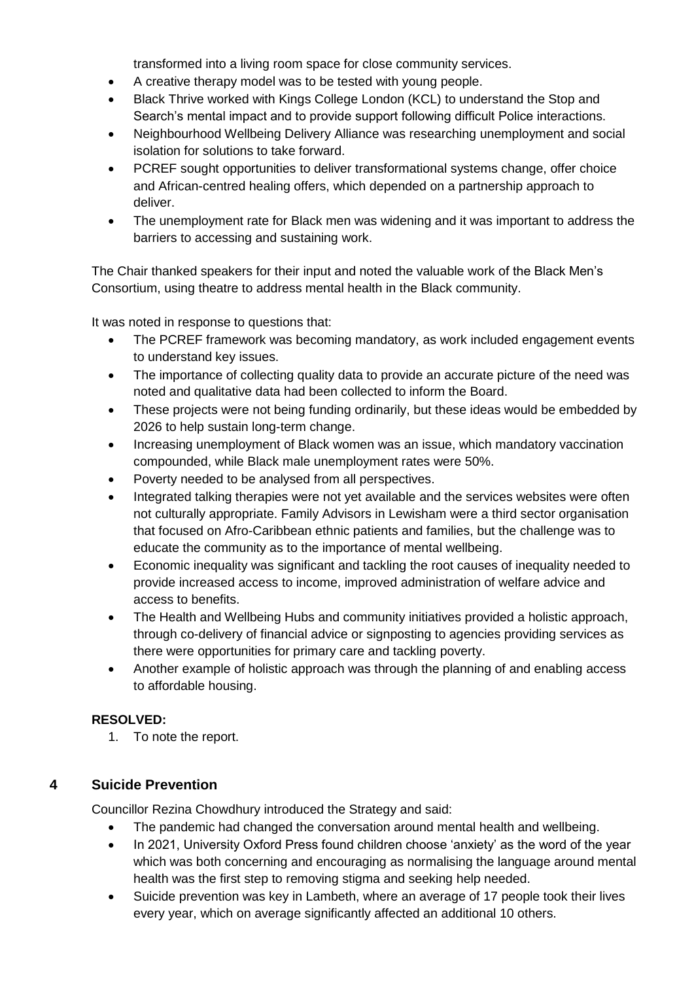transformed into a living room space for close community services.

- A creative therapy model was to be tested with young people.
- Black Thrive worked with Kings College London (KCL) to understand the Stop and Search's mental impact and to provide support following difficult Police interactions.
- Neighbourhood Wellbeing Delivery Alliance was researching unemployment and social isolation for solutions to take forward.
- PCREF sought opportunities to deliver transformational systems change, offer choice and African-centred healing offers, which depended on a partnership approach to deliver.
- The unemployment rate for Black men was widening and it was important to address the barriers to accessing and sustaining work.

The Chair thanked speakers for their input and noted the valuable work of the Black Men's Consortium, using theatre to address mental health in the Black community.

It was noted in response to questions that:

- The PCREF framework was becoming mandatory, as work included engagement events to understand key issues.
- The importance of collecting quality data to provide an accurate picture of the need was noted and qualitative data had been collected to inform the Board.
- These projects were not being funding ordinarily, but these ideas would be embedded by 2026 to help sustain long-term change.
- Increasing unemployment of Black women was an issue, which mandatory vaccination compounded, while Black male unemployment rates were 50%.
- Poverty needed to be analysed from all perspectives.
- Integrated talking therapies were not yet available and the services websites were often not culturally appropriate. Family Advisors in Lewisham were a third sector organisation that focused on Afro-Caribbean ethnic patients and families, but the challenge was to educate the community as to the importance of mental wellbeing.
- Economic inequality was significant and tackling the root causes of inequality needed to provide increased access to income, improved administration of welfare advice and access to benefits.
- The Health and Wellbeing Hubs and community initiatives provided a holistic approach, through co-delivery of financial advice or signposting to agencies providing services as there were opportunities for primary care and tackling poverty.
- Another example of holistic approach was through the planning of and enabling access to affordable housing.

### **RESOLVED:**

1. To note the report.

### **4 Suicide Prevention**

Councillor Rezina Chowdhury introduced the Strategy and said:

- The pandemic had changed the conversation around mental health and wellbeing.
- In 2021, University Oxford Press found children choose 'anxiety' as the word of the year which was both concerning and encouraging as normalising the language around mental health was the first step to removing stigma and seeking help needed.
- Suicide prevention was key in Lambeth, where an average of 17 people took their lives every year, which on average significantly affected an additional 10 others.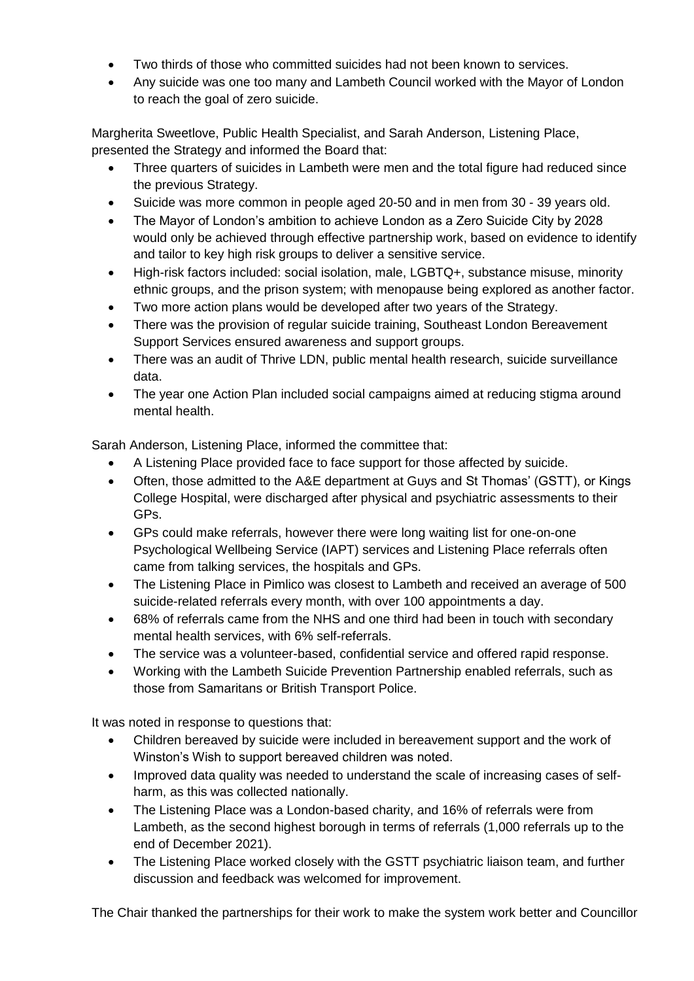- Two thirds of those who committed suicides had not been known to services.
- Any suicide was one too many and Lambeth Council worked with the Mayor of London to reach the goal of zero suicide.

Margherita Sweetlove, Public Health Specialist, and Sarah Anderson, Listening Place, presented the Strategy and informed the Board that:

- Three quarters of suicides in Lambeth were men and the total figure had reduced since the previous Strategy.
- Suicide was more common in people aged 20-50 and in men from 30 39 years old.
- The Mayor of London's ambition to achieve London as a Zero Suicide City by 2028 would only be achieved through effective partnership work, based on evidence to identify and tailor to key high risk groups to deliver a sensitive service.
- High-risk factors included: social isolation, male, LGBTQ+, substance misuse, minority ethnic groups, and the prison system; with menopause being explored as another factor.
- Two more action plans would be developed after two years of the Strategy.
- There was the provision of regular suicide training, Southeast London Bereavement Support Services ensured awareness and support groups.
- There was an audit of Thrive LDN, public mental health research, suicide surveillance data.
- The year one Action Plan included social campaigns aimed at reducing stigma around mental health.

Sarah Anderson, Listening Place, informed the committee that:

- A Listening Place provided face to face support for those affected by suicide.
- Often, those admitted to the A&E department at Guys and St Thomas' (GSTT), or Kings College Hospital, were discharged after physical and psychiatric assessments to their GPs.
- GPs could make referrals, however there were long waiting list for one-on-one Psychological Wellbeing Service (IAPT) services and Listening Place referrals often came from talking services, the hospitals and GPs.
- The Listening Place in Pimlico was closest to Lambeth and received an average of 500 suicide-related referrals every month, with over 100 appointments a day.
- 68% of referrals came from the NHS and one third had been in touch with secondary mental health services, with 6% self-referrals.
- The service was a volunteer-based, confidential service and offered rapid response.
- Working with the Lambeth Suicide Prevention Partnership enabled referrals, such as those from Samaritans or British Transport Police.

It was noted in response to questions that:

- Children bereaved by suicide were included in bereavement support and the work of Winston's Wish to support bereaved children was noted.
- Improved data quality was needed to understand the scale of increasing cases of selfharm, as this was collected nationally.
- The Listening Place was a London-based charity, and 16% of referrals were from Lambeth, as the second highest borough in terms of referrals (1,000 referrals up to the end of December 2021).
- The Listening Place worked closely with the GSTT psychiatric liaison team, and further discussion and feedback was welcomed for improvement.

The Chair thanked the partnerships for their work to make the system work better and Councillor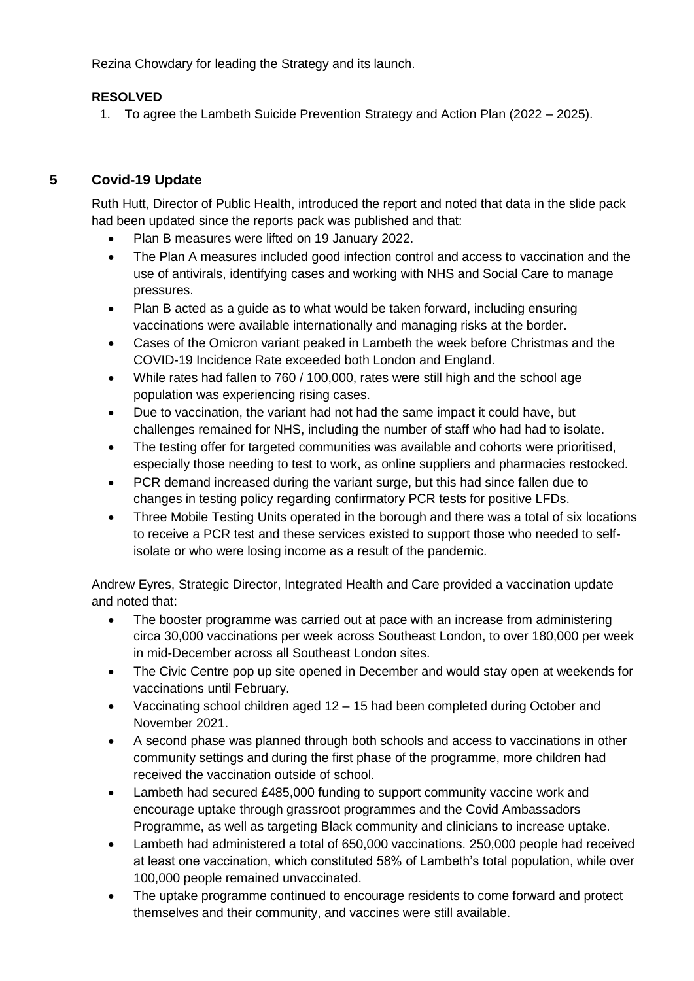Rezina Chowdary for leading the Strategy and its launch.

### **RESOLVED**

1. To agree the Lambeth Suicide Prevention Strategy and Action Plan (2022 – 2025).

#### **5 Covid-19 Update**

Ruth Hutt, Director of Public Health, introduced the report and noted that data in the slide pack had been updated since the reports pack was published and that:

- Plan B measures were lifted on 19 January 2022.
- The Plan A measures included good infection control and access to vaccination and the use of antivirals, identifying cases and working with NHS and Social Care to manage pressures.
- Plan B acted as a guide as to what would be taken forward, including ensuring vaccinations were available internationally and managing risks at the border.
- Cases of the Omicron variant peaked in Lambeth the week before Christmas and the COVID-19 Incidence Rate exceeded both London and England.
- While rates had fallen to 760 / 100,000, rates were still high and the school age population was experiencing rising cases.
- Due to vaccination, the variant had not had the same impact it could have, but challenges remained for NHS, including the number of staff who had had to isolate.
- The testing offer for targeted communities was available and cohorts were prioritised, especially those needing to test to work, as online suppliers and pharmacies restocked.
- PCR demand increased during the variant surge, but this had since fallen due to changes in testing policy regarding confirmatory PCR tests for positive LFDs.
- Three Mobile Testing Units operated in the borough and there was a total of six locations to receive a PCR test and these services existed to support those who needed to selfisolate or who were losing income as a result of the pandemic.

Andrew Eyres, Strategic Director, Integrated Health and Care provided a vaccination update and noted that:

- The booster programme was carried out at pace with an increase from administering circa 30,000 vaccinations per week across Southeast London, to over 180,000 per week in mid-December across all Southeast London sites.
- The Civic Centre pop up site opened in December and would stay open at weekends for vaccinations until February.
- Vaccinating school children aged 12 15 had been completed during October and November 2021.
- A second phase was planned through both schools and access to vaccinations in other community settings and during the first phase of the programme, more children had received the vaccination outside of school.
- Lambeth had secured £485,000 funding to support community vaccine work and encourage uptake through grassroot programmes and the Covid Ambassadors Programme, as well as targeting Black community and clinicians to increase uptake.
- Lambeth had administered a total of 650,000 vaccinations. 250,000 people had received at least one vaccination, which constituted 58% of Lambeth's total population, while over 100,000 people remained unvaccinated.
- The uptake programme continued to encourage residents to come forward and protect themselves and their community, and vaccines were still available.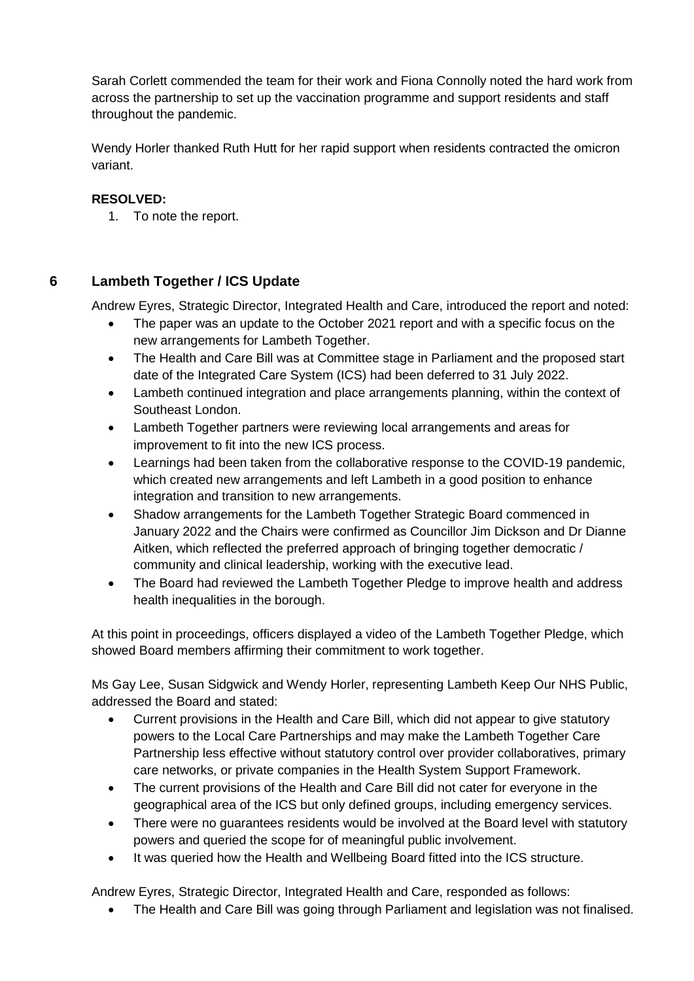Sarah Corlett commended the team for their work and Fiona Connolly noted the hard work from across the partnership to set up the vaccination programme and support residents and staff throughout the pandemic.

Wendy Horler thanked Ruth Hutt for her rapid support when residents contracted the omicron variant.

#### **RESOLVED:**

1. To note the report.

# **6 Lambeth Together / ICS Update**

Andrew Eyres, Strategic Director, Integrated Health and Care, introduced the report and noted:

- The paper was an update to the October 2021 report and with a specific focus on the new arrangements for Lambeth Together.
- The Health and Care Bill was at Committee stage in Parliament and the proposed start date of the Integrated Care System (ICS) had been deferred to 31 July 2022.
- Lambeth continued integration and place arrangements planning, within the context of Southeast London.
- Lambeth Together partners were reviewing local arrangements and areas for improvement to fit into the new ICS process.
- Learnings had been taken from the collaborative response to the COVID-19 pandemic, which created new arrangements and left Lambeth in a good position to enhance integration and transition to new arrangements.
- Shadow arrangements for the Lambeth Together Strategic Board commenced in January 2022 and the Chairs were confirmed as Councillor Jim Dickson and Dr Dianne Aitken, which reflected the preferred approach of bringing together democratic / community and clinical leadership, working with the executive lead.
- The Board had reviewed the Lambeth Together Pledge to improve health and address health inequalities in the borough.

At this point in proceedings, officers displayed a video of the Lambeth Together Pledge, which showed Board members affirming their commitment to work together.

Ms Gay Lee, Susan Sidgwick and Wendy Horler, representing Lambeth Keep Our NHS Public, addressed the Board and stated:

- Current provisions in the Health and Care Bill, which did not appear to give statutory powers to the Local Care Partnerships and may make the Lambeth Together Care Partnership less effective without statutory control over provider collaboratives, primary care networks, or private companies in the Health System Support Framework.
- The current provisions of the Health and Care Bill did not cater for everyone in the geographical area of the ICS but only defined groups, including emergency services.
- There were no quarantees residents would be involved at the Board level with statutory powers and queried the scope for of meaningful public involvement.
- It was queried how the Health and Wellbeing Board fitted into the ICS structure.

Andrew Eyres, Strategic Director, Integrated Health and Care, responded as follows:

• The Health and Care Bill was going through Parliament and legislation was not finalised.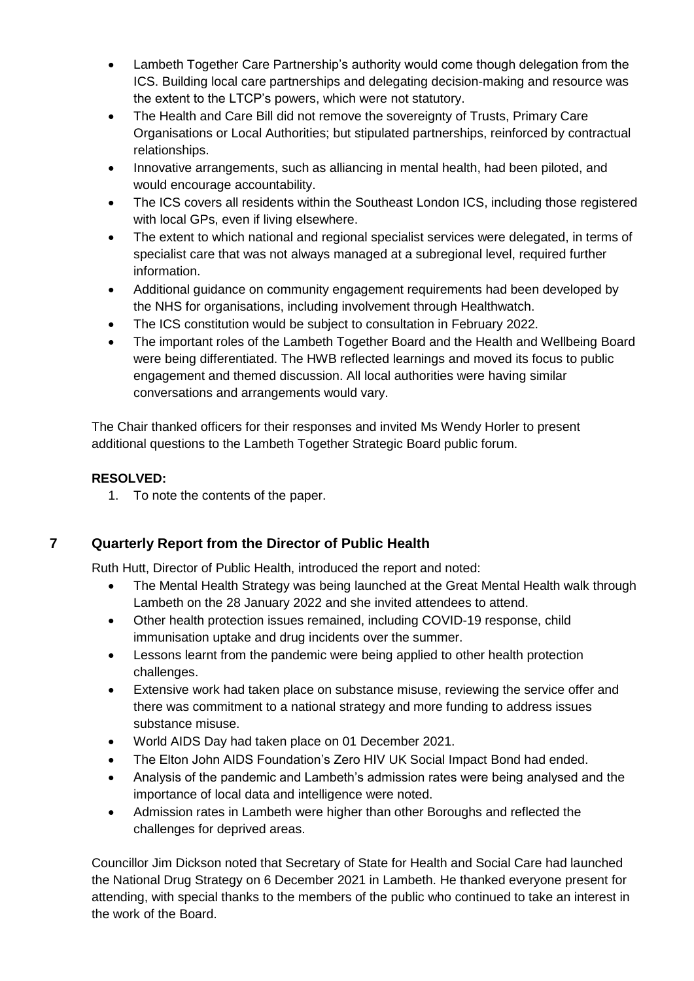- Lambeth Together Care Partnership's authority would come though delegation from the ICS. Building local care partnerships and delegating decision-making and resource was the extent to the LTCP's powers, which were not statutory.
- The Health and Care Bill did not remove the sovereignty of Trusts, Primary Care Organisations or Local Authorities; but stipulated partnerships, reinforced by contractual relationships.
- Innovative arrangements, such as alliancing in mental health, had been piloted, and would encourage accountability.
- The ICS covers all residents within the Southeast London ICS, including those registered with local GPs, even if living elsewhere.
- The extent to which national and regional specialist services were delegated, in terms of specialist care that was not always managed at a subregional level, required further information.
- Additional guidance on community engagement requirements had been developed by the NHS for organisations, including involvement through Healthwatch.
- The ICS constitution would be subject to consultation in February 2022.
- The important roles of the Lambeth Together Board and the Health and Wellbeing Board were being differentiated. The HWB reflected learnings and moved its focus to public engagement and themed discussion. All local authorities were having similar conversations and arrangements would vary.

The Chair thanked officers for their responses and invited Ms Wendy Horler to present additional questions to the Lambeth Together Strategic Board public forum.

### **RESOLVED:**

1. To note the contents of the paper.

### **7 Quarterly Report from the Director of Public Health**

Ruth Hutt, Director of Public Health, introduced the report and noted:

- The Mental Health Strategy was being launched at the Great Mental Health walk through Lambeth on the 28 January 2022 and she invited attendees to attend.
- Other health protection issues remained, including COVID-19 response, child immunisation uptake and drug incidents over the summer.
- Lessons learnt from the pandemic were being applied to other health protection challenges.
- Extensive work had taken place on substance misuse, reviewing the service offer and there was commitment to a national strategy and more funding to address issues substance misuse.
- World AIDS Day had taken place on 01 December 2021.
- The Elton John AIDS Foundation's Zero HIV [UK Social Impact Bond](https://www.eltonjohnaidsfoundation.org/what-we-do/what-we-fund/uk-social-impact-bond/) had ended.
- Analysis of the pandemic and Lambeth's admission rates were being analysed and the importance of local data and intelligence were noted.
- Admission rates in Lambeth were higher than other Boroughs and reflected the challenges for deprived areas.

Councillor Jim Dickson noted that Secretary of State for Health and Social Care had launched the National Drug Strategy on 6 December 2021 in Lambeth. He thanked everyone present for attending, with special thanks to the members of the public who continued to take an interest in the work of the Board.